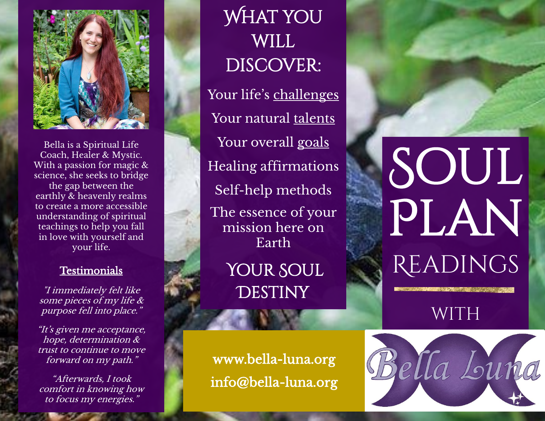

Bella is a Spiritual Life Coach, Healer & Mystic. With a passion for magic & science, she seeks to bridge the gap between the earthly & heavenly realms to create a more accessibl e understanding of spiritual teachings to help you fall in love with yourself and your life .

## **Testimonials**

"I immediately felt like some pieces of my life & purpose fell into place."

"It's given me acceptance, hope, determination & trust to continue to move forward on my path."

"Afterwards, I took comfort in knowing how to focus my energies."

WHAT YOU **WILL** DISCOVER: Your life's challenges Your natural talents Your overall goals Healing affirmations Self-help methods The essence of your mission here on EarthYOUR SOUL

**DESTINY** 

[www.bella](http://www.bella-luna.org/) -luna.org info@bella -luna.org

## SOUL PLAN **READINGS**

WITH